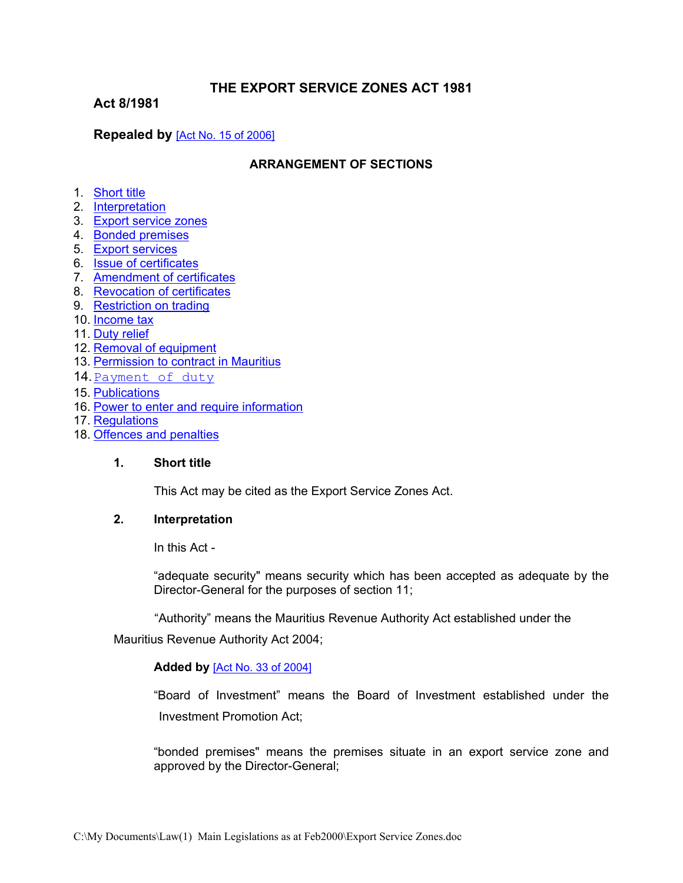# **THE EXPORT SERVICE ZONES ACT 1981**

**Act 8/1981**

# **Repealed by** [Act No. 15 of [2006\]](https://supremecourt.govmu.org/_layouts/CLIS.DMS/search/searchdocumentbykey.aspx?ID=%5BAct%20No.%2015%20of%202006%5D&list=Legislations)

### **ARRANGEMENT OF SECTIONS**

- 1. [Short](#page-0-0) title
- 2. [Interpretation](#page-0-1)
- 3. Export [service](#page-2-0) zones
- 4. Bonded [premises](#page-2-1)
- 5. Export [services](#page-2-2)
- 6. Issue of [certificates](#page-3-0)
- 7. [Amendment](#page-3-1) of certificates
- 8. Revocation of certificates
- 9. Restriction on trading
- 10. Income tax
- 11. Duty [relief](#page-3-2)
- 12. [Removal](#page-3-3) of eq[uipment](#page-3-3)
- 13. [Permission](#page-3-4) to contract in Mauritius
- 14 [Paymen](s#b14)t [of](s#b14) [duty](s#b14)
- 15. [Publications](#page-4-0)
- 16. Power to enter and require [information](#page-4-1)
- 17. [Regulations](#page-4-2)
- 18. [Offences](#page-4-3) and penalties

#### **1. Short title**

<span id="page-0-1"></span><span id="page-0-0"></span>This Act may be cited as the Export Service Zones Act.

#### **2. Interpretation**

In this Act -

"adequate security" means security which has been accepted as adequate by the Director-General for the purposes of section 11;

"Authority" means the Mauritius Revenue Authority Act established under the

Mauritius Revenue Authority Act 2004;

#### **Added by** [Act No. 33 of [2004\]](https://supremecourt.govmu.org/_layouts/CLIS.DMS/search/searchdocumentbykey.aspx?ID=%5BAct%20No.%2033%20of%202004%5D&list=Legislations)

"Board of Investment" means the Board of Investment established under the Investment Promotion Act;

"bonded premises" means the premises situate in an export service zone and approved by the Director-General;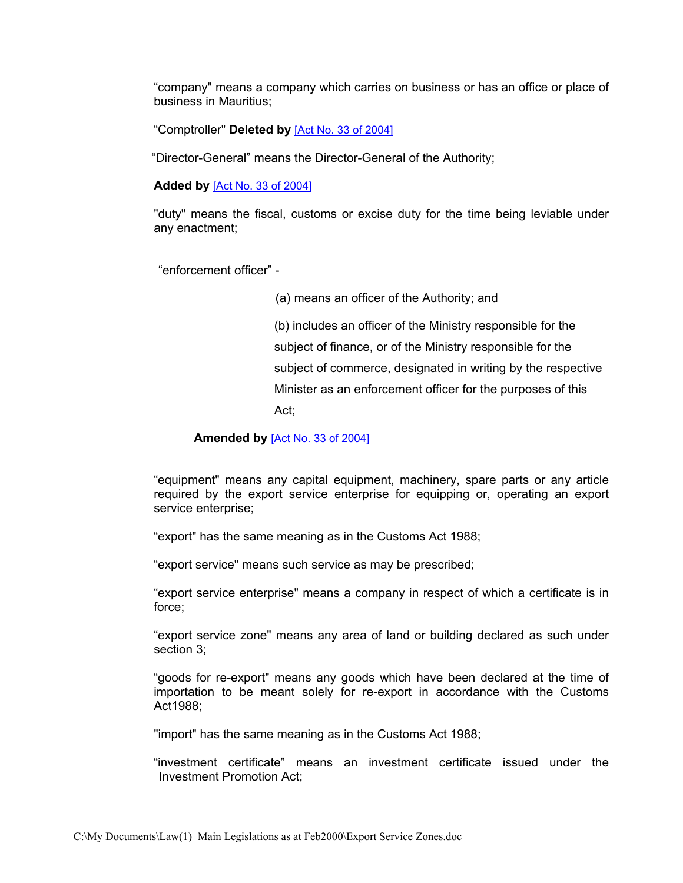"company" means a company which carries on business or has an office or place of business in Mauritius;

"Comptroller" **Deleted by** [Act No. 33 of [2004\]](https://supremecourt.govmu.org/_layouts/CLIS.DMS/search/searchdocumentbykey.aspx?ID=%5BAct%20No.%2033%20of%202004%5D&list=Legislations)

"Director-General" means the Director-General of the Authority;

**Added by** [Act No. 33 of [2004\]](https://supremecourt.govmu.org/_layouts/CLIS.DMS/search/searchdocumentbykey.aspx?ID=%5BAct%20No.%2033%20of%202004%5D&list=Legislations)

"duty" means the fiscal, customs or excise duty for the time being leviable under any enactment;

"enforcement officer" -

(a) means an officer of the Authority; and

(b) includes an officer of the Ministry responsible for the subject of finance, or of the Ministry responsible for the subject of commerce, designated in writing by the respective Minister as an enforcement officer for the purposes of this Act;

**Amended by** [Act No. 33 of [2004\]](https://supremecourt.govmu.org/_layouts/CLIS.DMS/search/searchdocumentbykey.aspx?ID=%5BAct%20No.%2033%20of%202004%5D&list=Legislations)

"equipment" means any capital equipment, machinery, spare parts or any article required by the export service enterprise for equipping or, operating an export service enterprise;

"export" has the same meaning as in the Customs Act 1988;

"export service" means such service as may be prescribed;

"export service enterprise" means a company in respect of which a certificate is in force;

"export service zone" means any area of land or building declared as such under section 3;

"goods for re-export" means any goods which have been declared at the time of importation to be meant solely for re-export in accordance with the Customs Act1988;

"import" has the same meaning as in the Customs Act 1988;

"investment certificate" means an investment certificate issued under the Investment Promotion Act;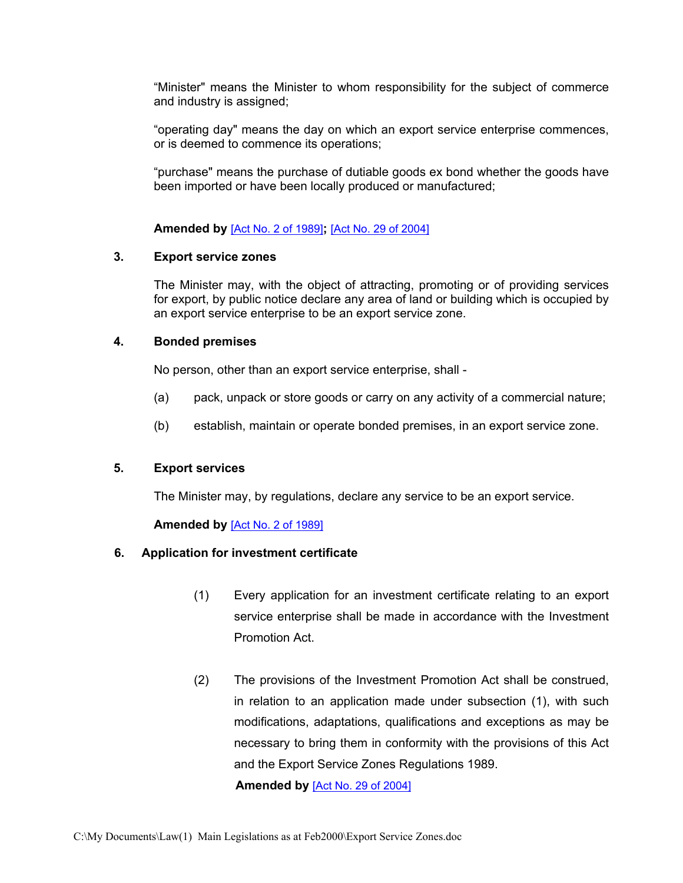"Minister" means the Minister to whom responsibility for the subject of commerce and industry is assigned;

"operating day" means the day on which an export service enterprise commences, or is deemed to commence its operations;

"purchase" means the purchase of dutiable goods ex bond whether the goods have been imported or have been locally produced or manufactured;

<span id="page-2-0"></span>**Amended by** [Act No. 2 of [1989\]](https://supremecourt.govmu.org/_layouts/CLIS.DMS/search/searchdocumentbykey.aspx?ID=%5BAct%20No.%202%20of%201989%5D&list=Legislations)**;** [Act No. 29 of [2004\]](https://supremecourt.govmu.org/_layouts/CLIS.DMS/search/searchdocumentbykey.aspx?ID=%5BAct%20No.%2029%20of%202004%5D&list=Legislations)

### **3. Export service zones**

The Minister may, with the object of attracting, promoting or of providing services for export, by public notice declare any area of land or building which is occupied by an export service enterprise to be an export service zone.

# **4. Bonded premises**

<span id="page-2-1"></span>No person, other than an export service enterprise, shall -

- (a) pack, unpack or store goods or carry on any activity of a commercial nature;
- (b) establish, maintain or operate bonded premises, in an export service zone.

# **5. Export services**

<span id="page-2-2"></span>The Minister may, by regulations, declare any service to be an export service.

# **Amended by** [Act No. 2 of [1989\]](https://supremecourt.govmu.org/_layouts/CLIS.DMS/search/searchdocumentbykey.aspx?ID=%5BAct%20No.%202%20of%201989%5D&list=Legislations)

# **6. Application for investment certificate**

- (1) Every application for an investment certificate relating to an export service enterprise shall be made in accordance with the Investment Promotion Act.
- (2) The provisions of the Investment Promotion Act shall be construed, in relation to an application made under subsection (1), with such modifications, adaptations, qualifications and exceptions as may be necessary to bring them in conformity with the provisions of this Act and the Export Service Zones Regulations 1989.

**Amended by** [Act No. 29 of [2004\]](https://supremecourt.govmu.org/_layouts/CLIS.DMS/search/searchdocumentbykey.aspx?ID=%5BAct%20No.%2029%20of%202004%5D&list=Legislations)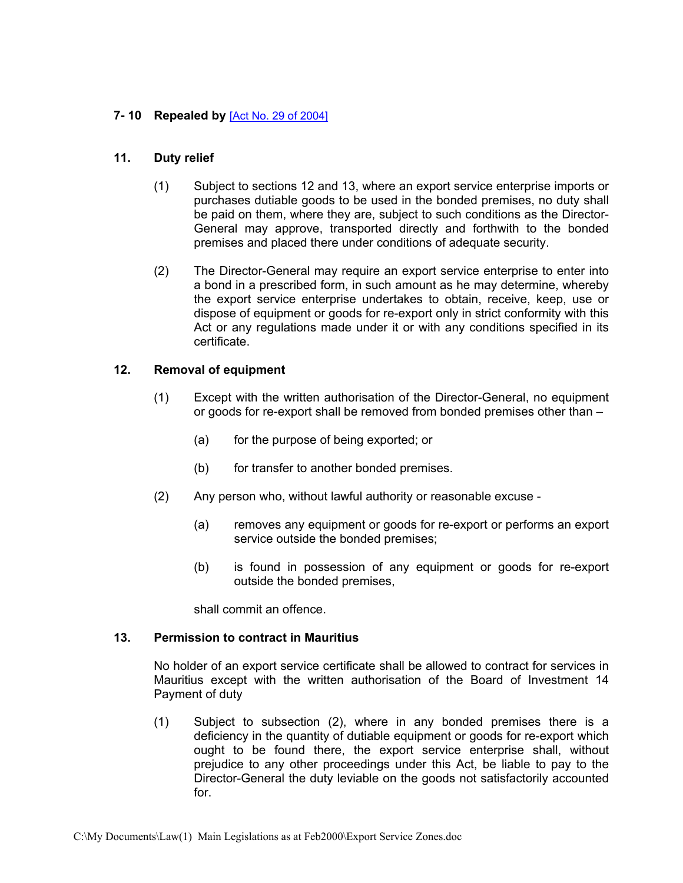### <span id="page-3-1"></span><span id="page-3-0"></span>**7- 10 Repealed by** [Act No. 29 of [2004\]](https://supremecourt.govmu.org/_layouts/CLIS.DMS/search/searchdocumentbykey.aspx?ID=%5BAct%20No.%2029%20of%202004%5D&list=Legislations)

#### **11. Duty relief**

- <span id="page-3-2"></span>(1) Subject to sections 12 and 13, where an export service enterprise imports or purchases dutiable goods to be used in the bonded premises, no duty shall be paid on them, where they are, subject to such conditions as the Director-General may approve, transported directly and forthwith to the bonded premises and placed there under conditions of adequate security.
- (2) The Director-General may require an export service enterprise to enter into a bond in a prescribed form, in such amount as he may determine, whereby the export service enterprise undertakes to obtain, receive, keep, use or dispose of equipment or goods for re-export only in strict conformity with this Act or any regulations made under it or with any conditions specified in its certificate.

### **12. Removal of equipment**

- <span id="page-3-3"></span>(1) Except with the written authorisation of the Director-General, no equipment or goods for re-export shall be removed from bonded premises other than –
	- (a) for the purpose of being exported; or
	- (b) for transfer to another bonded premises.
- (2) Any person who, without lawful authority or reasonable excuse
	- (a) removes any equipment or goods for re-export or performs an export service outside the bonded premises;
	- (b) is found in possession of any equipment or goods for re-export outside the bonded premises,

shall commit an offence.

### **13. Permission to contract in Mauritius**

<span id="page-3-4"></span>No holder of an export service certificate shall be allowed to contract for services in Mauritius except with the written authorisation of the Board of Investment 14 Payment of duty

(1) Subject to subsection (2), where in any bonded premises there is a deficiency in the quantity of dutiable equipment or goods for re-export which ought to be found there, the export service enterprise shall, without prejudice to any other proceedings under this Act, be liable to pay to the Director-General the duty leviable on the goods not satisfactorily accounted for.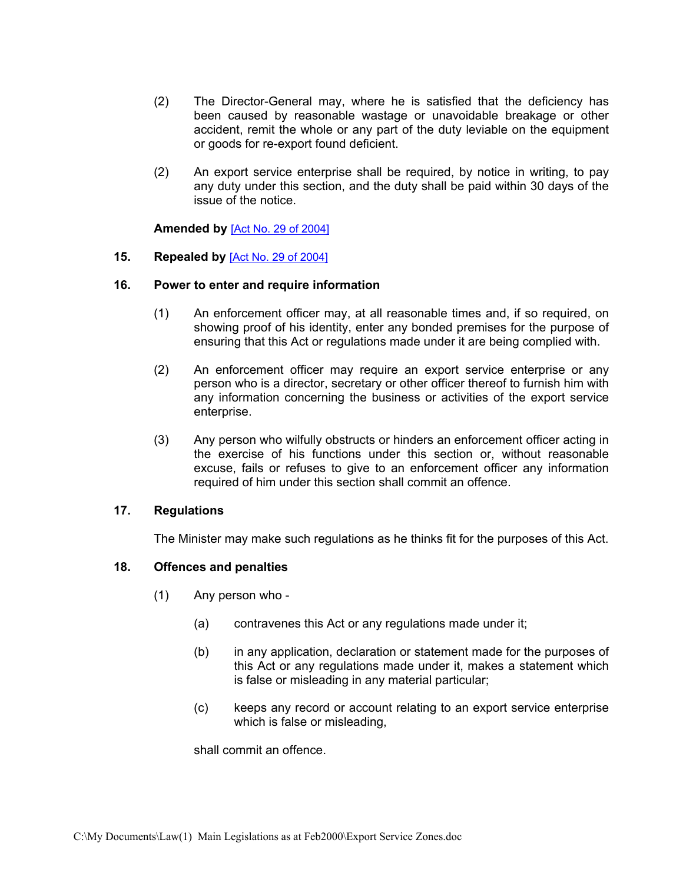- (2) The Director-General may, where he is satisfied that the deficiency has been caused by reasonable wastage or unavoidable breakage or other accident, remit the whole or any part of the duty leviable on the equipment or goods for re-export found deficient.
- (2) An export service enterprise shall be required, by notice in writing, to pay any duty under this section, and the duty shall be paid within 30 days of the issue of the notice.

#### **Amended by** [Act No. 29 of [2004\]](https://supremecourt.govmu.org/_layouts/CLIS.DMS/search/searchdocumentbykey.aspx?ID=%5BAct%20No.%2029%20of%202004%5D&list=Legislations)

### <span id="page-4-0"></span>**15. Repealed by** [Act No. 29 of [2004\]](https://supremecourt.govmu.org/_layouts/CLIS.DMS/search/searchdocumentbykey.aspx?ID=%5BAct%20No.%2029%20of%202004%5D&list=Legislations)

### **16. Power to enter and require information**

- <span id="page-4-1"></span>(1) An enforcement officer may, at all reasonable times and, if so required, on showing proof of his identity, enter any bonded premises for the purpose of ensuring that this Act or regulations made under it are being complied with.
- (2) An enforcement officer may require an export service enterprise or any person who is a director, secretary or other officer thereof to furnish him with any information concerning the business or activities of the export service enterprise.
- (3) Any person who wilfully obstructs or hinders an enforcement officer acting in the exercise of his functions under this section or, without reasonable excuse, fails or refuses to give to an enforcement officer any information required of him under this section shall commit an offence.

#### **17. Regulations**

<span id="page-4-2"></span>The Minister may make such regulations as he thinks fit for the purposes of this Act.

# **18. Offences and penalties**

- <span id="page-4-3"></span>(1) Any person who -
	- (a) contravenes this Act or any regulations made under it;
	- (b) in any application, declaration or statement made for the purposes of this Act or any regulations made under it, makes a statement which is false or misleading in any material particular;
	- (c) keeps any record or account relating to an export service enterprise which is false or misleading,

shall commit an offence.